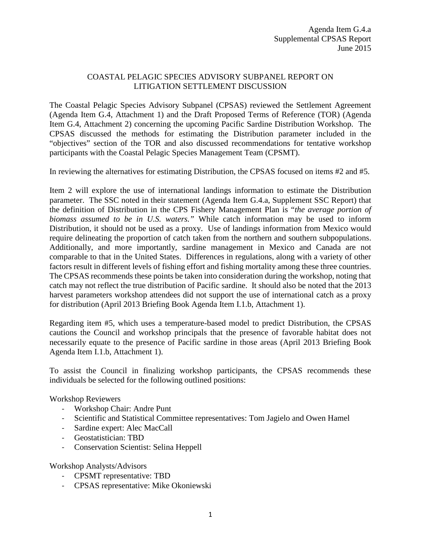## COASTAL PELAGIC SPECIES ADVISORY SUBPANEL REPORT ON LITIGATION SETTLEMENT DISCUSSION

The Coastal Pelagic Species Advisory Subpanel (CPSAS) reviewed the Settlement Agreement (Agenda Item G.4, Attachment 1) and the Draft Proposed Terms of Reference (TOR) (Agenda Item G.4, Attachment 2) concerning the upcoming Pacific Sardine Distribution Workshop. The CPSAS discussed the methods for estimating the Distribution parameter included in the "objectives" section of the TOR and also discussed recommendations for tentative workshop participants with the Coastal Pelagic Species Management Team (CPSMT).

In reviewing the alternatives for estimating Distribution, the CPSAS focused on items #2 and #5.

Item 2 will explore the use of international landings information to estimate the Distribution parameter. The SSC noted in their statement (Agenda Item G.4.a, Supplement SSC Report) that the definition of Distribution in the CPS Fishery Management Plan is "*the average portion of biomass assumed to be in U.S. waters."* While catch information may be used to inform Distribution, it should not be used as a proxy. Use of landings information from Mexico would require delineating the proportion of catch taken from the northern and southern subpopulations. Additionally, and more importantly, sardine management in Mexico and Canada are not comparable to that in the United States. Differences in regulations, along with a variety of other factors result in different levels of fishing effort and fishing mortality among these three countries. The CPSAS recommends these points be taken into consideration during the workshop, noting that catch may not reflect the true distribution of Pacific sardine. It should also be noted that the 2013 harvest parameters workshop attendees did not support the use of international catch as a proxy for distribution (April 2013 Briefing Book Agenda Item I.1.b, Attachment 1).

Regarding item #5, which uses a temperature-based model to predict Distribution, the CPSAS cautions the Council and workshop principals that the presence of favorable habitat does not necessarily equate to the presence of Pacific sardine in those areas (April 2013 Briefing Book Agenda Item I.1.b, Attachment 1).

To assist the Council in finalizing workshop participants, the CPSAS recommends these individuals be selected for the following outlined positions:

Workshop Reviewers

- Workshop Chair: Andre Punt
- Scientific and Statistical Committee representatives: Tom Jagielo and Owen Hamel
- Sardine expert: Alec MacCall
- Geostatistician: TBD
- Conservation Scientist: Selina Heppell

Workshop Analysts/Advisors

- CPSMT representative: TBD
- CPSAS representative: Mike Okoniewski